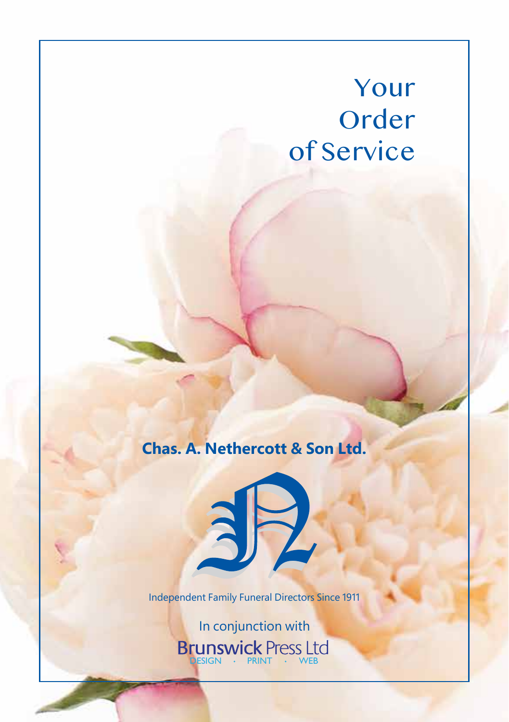# Your Order of Service

**Chas. A. Nethercott & Son Ltd.** 

Independent Family Funeral Directors Since 1911

 $\sum_{i=1}^{n}$ 

In conjunction with Brunswick Press Ltd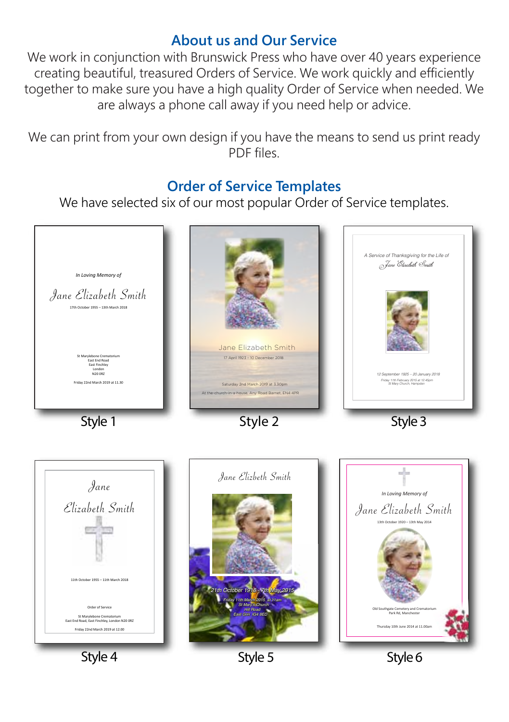### **About us and Our Service**

We work in conjunction with Brunswick Press who have over 40 years experience creating beautiful, treasured Orders of Service. We work quickly and efficiently together to make sure you have a high quality Order of Service when needed. We are always a phone call away if you need help or advice.

We can print from your own design if you have the means to send us print ready PDF files.

### **Order of Service Templates**

We have selected six of our most popular Order of Service templates.



Style 5

Style 6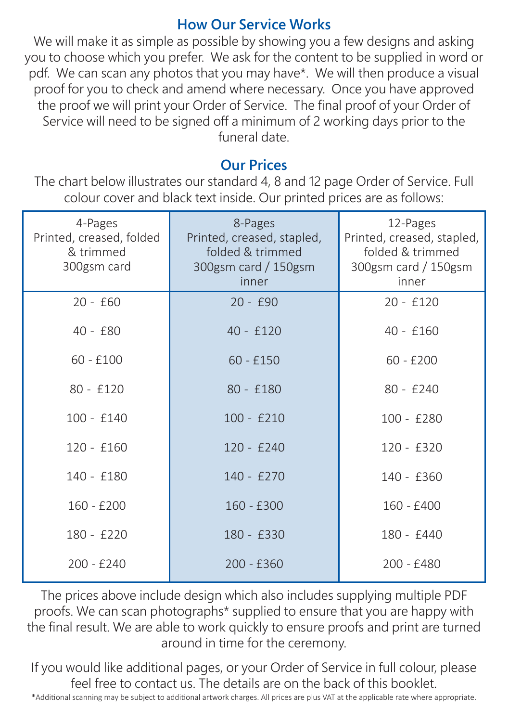### **How Our Service Works**

We will make it as simple as possible by showing you a few designs and asking you to choose which you prefer. We ask for the content to be supplied in word or pdf. We can scan any photos that you may have\*. We will then produce a visual proof for you to check and amend where necessary. Once you have approved the proof we will print your Order of Service. The final proof of your Order of Service will need to be signed off a minimum of 2 working days prior to the funeral date.

## **Our Prices**

The chart below illustrates our standard 4, 8 and 12 page Order of Service. Full colour cover and black text inside. Our printed prices are as follows:

| 4-Pages<br>Printed, creased, folded<br>& trimmed<br>300gsm card | 8-Pages<br>Printed, creased, stapled,<br>folded & trimmed<br>300gsm card / 150gsm<br>inner | 12-Pages<br>Printed, creased, stapled,<br>folded & trimmed<br>300gsm card / 150gsm<br>inner |
|-----------------------------------------------------------------|--------------------------------------------------------------------------------------------|---------------------------------------------------------------------------------------------|
| $20 - £60$                                                      | $20 - f90$                                                                                 | $20 - £120$                                                                                 |
| $40 - f80$                                                      | $40 - £120$                                                                                | $40 - £160$                                                                                 |
| $60 - £100$                                                     | $60 - £150$                                                                                | $60 - £200$                                                                                 |
| $80 - £120$                                                     | 80 - £180                                                                                  | 80 - £240                                                                                   |
| $100 - £140$                                                    | $100 - £210$                                                                               | $100 - £280$                                                                                |
| $120 - £160$                                                    | $120 - £240$                                                                               | $120 - £320$                                                                                |
| 140 - £180                                                      | 140 - £270                                                                                 | 140 - £360                                                                                  |
| 160 - £200                                                      | $160 - £300$                                                                               | 160 - £400                                                                                  |
| 180 - £220                                                      | 180 - £330                                                                                 | 180 - £440                                                                                  |
| $200 - £240$                                                    | $200 - £360$                                                                               | 200 - £480                                                                                  |

The prices above include design which also includes supplying multiple PDF proofs. We can scan photographs\* supplied to ensure that you are happy with the final result. We are able to work quickly to ensure proofs and print are turned around in time for the ceremony.

If you would like additional pages, or your Order of Service in full colour, please feel free to contact us. The details are on the back of this booklet.

\*Additional scanning may be subject to additional artwork charges. All prices are plus VAT at the applicable rate where appropriate.